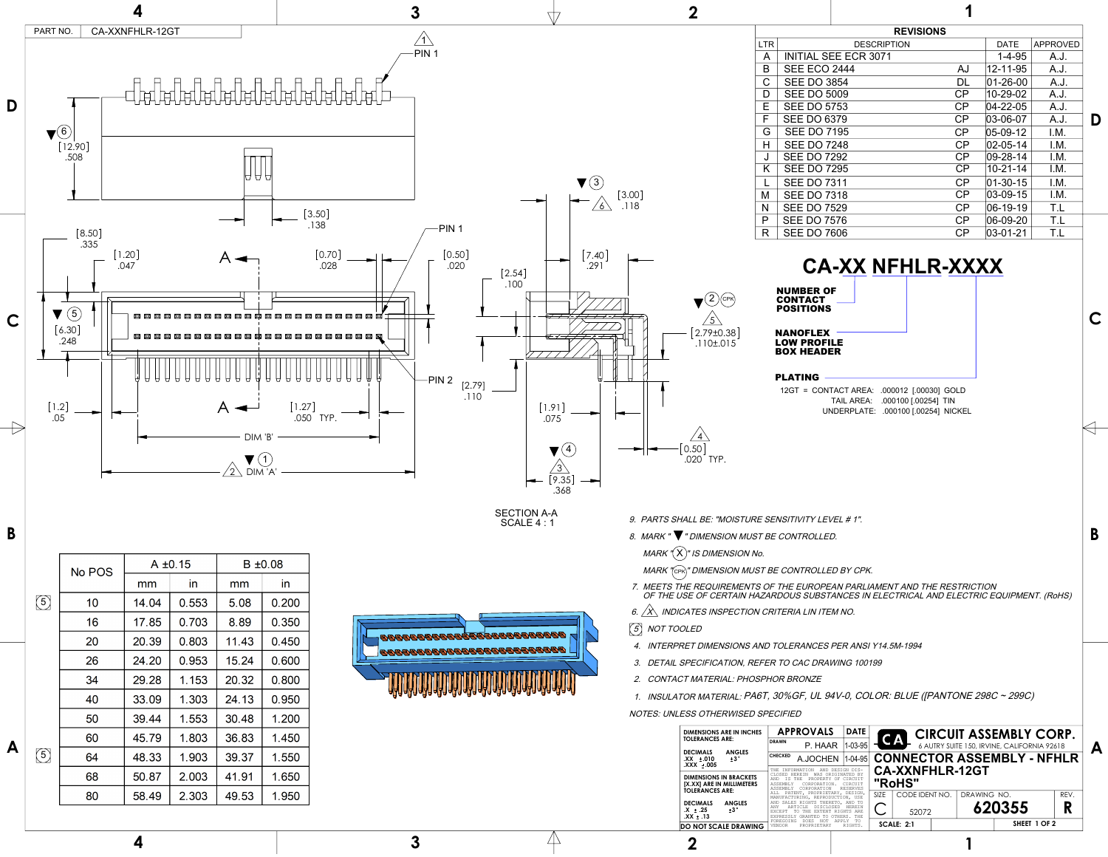- 9. PARTS SHALL BE: "MOISTURE SENSITIVITY LEVEL # 1".
- 8. MARK " ▼ " DIMENSION MUST BE CONTROLLED.
- MARK " $({\mathsf X})$ " IS DIMENSION No.
- MARK "(cpk)" DIMENSION MUST BE CONTROLLED BY CPK.
- 7. MEETS THE REQUIREMENTS OF THE EUROPEAN PARLIAMENT AND THE RESTRICTION OF THE USE OF CERTAIN HAZARDOUS SUBSTANCES IN ELECTRICAL AND ELECTRIC EQUIPMENT. (RoHS)
- 6.  $\overleftrightarrow{X}$  INDICATES INSPECTION CRITERIA LIN ITEM NO.
- 5 NOT TOOLED
- 4. INTERPRET DIMENSIONS AND TOLERANCES PER ANSI Y14.5M-1994
- 3. DETAIL SPECIFICATION, REFER TO CAC DRAWING 100199
- 2. CONTACT MATERIAL: PHOSPHOR BRONZE
- 1. INSULATOR MATERIAL: PA6T, 30%GF, UL 94V-0, COLOR: BLUE ([PANTONE 298C ~ 299C)
- NOTES: UNLESS OTHERWISED SPECIFIED



SECTION A-A<br>SCALE 4:1

| BERBERBERBERBERBERBER<br>巴马 |  |
|-----------------------------|--|
| ║<br>u<br>۳                 |  |



## NANOFLEX LOW PROFILE BOX HEADER

## PLATING

12GT = CONTACT AREA: .000012 [.00030] GOLD TAIL AREA: .000100 [.00254] TIN UNDERPLATE: .000100 [.00254] NICKEL

## **CA-XX NFHLR-XXXX**

**B**

**4 3 2 1**

**D**

**A**

**B**

**C**

| MARK ' $(\mathsf{X})$ " IS DIMENSION No.                                                                              |                                                  |                                                                                                                                                          |  |
|-----------------------------------------------------------------------------------------------------------------------|--------------------------------------------------|----------------------------------------------------------------------------------------------------------------------------------------------------------|--|
| <b>MARK "CPR" DIMENSION MUST BE CONTROLLED</b>                                                                        |                                                  | $B \pm 0.08$<br>$A \pm 0.15$<br>No POS                                                                                                                   |  |
| 7. MEETS THE REQUIREMENTS OF THE EUROPEANTS OF THE USE OF CERTAIN HAZARDOUS SUBSTA                                    |                                                  | mm<br>$mm$                                                                                                                                               |  |
|                                                                                                                       |                                                  | $14.04$ 0.553<br>$\vert 5.08 \vert 0.200 \vert$                                                                                                          |  |
| 6. $\sqrt{X}$ indicates inspection criteria Lin item                                                                  |                                                  | 17.85   0.703   8.89   0.350                                                                                                                             |  |
| $(5)$ NOT TOOLED                                                                                                      | A COCOCOCOCOCOCOCOCOCOCOCOCOCO<br>70000000000000 | 11.43 0.450                                                                                                                                              |  |
| 4. INTERPRET DIMENSIONS AND TOLERANCES F                                                                              | <b>BRAAAAAAAAAAAAAAAAAAAAAAAAA</b>               | $\vert$ 20.39 $\vert$ 0.803 $\vert$<br>— <del>———————</del>                                                                                              |  |
| 3. DETAIL SPECIFICATION, REFER TO CAC DRAW                                                                            |                                                  | 24.20   0.953   15.24   0.600  <br>the contract of the contract of the                                                                                   |  |
| 2. CONTACT MATERIAL: PHOSPHOR BRONZE                                                                                  | $A$ CARCARCARCARCARCARCARCARCARCARC              | 29.28  <br>  1.153   20.32   0.800                                                                                                                       |  |
| 1. INSULATOR MATERIAL: PA6T, 30%GF, UL 94                                                                             |                                                  | <u> 1989 - John Stone, Amerikaansk politiker († 1908)</u><br>33.09<br>  1.303   24.13   0.950                                                            |  |
| NOTES: UNLESS OTHERWISED SPECIFIED                                                                                    |                                                  | <u> 1989 - Jan Sarajević, politički politički politički politički politički politički politički politički politič</u><br>  39.44   1.553   30.48   1.200 |  |
| DIMENSIONS ARE IN INCHES <b>APPROVALS</b>                                                                             |                                                  | $\vert$ 45.79   1.803   36.83   1.450                                                                                                                    |  |
| $\left  \begin{array}{ccc} \texttt{DRAWN} & \texttt{P. HAAF} \end{array} \right $<br><b>ANGLES</b><br><b>DECIMALS</b> |                                                  |                                                                                                                                                          |  |
| CHECKED A.JOCHEM<br>$.XX \pm .010$<br>.XXX ±.005                                                                      |                                                  | 48.33   1.903   39.37   1.550<br><u> 1989 - John Stone, Amerikaansk politiker (* 1918)</u>                                                               |  |
| DIMENSIONS IN BRACKETS<br>[X.XX] ARE IN MILLIMETERS<br>TOLERANCES ARE:                                                |                                                  | 50.87   2.003   41.91  <br>1.650                                                                                                                         |  |
| $\overline{ }$ DECIMALS ANGLES                                                                                        |                                                  | 58.49   2.303   49.53   1.950                                                                                                                            |  |
|                                                                                                                       |                                                  |                                                                                                                                                          |  |

| <b>DIMENSIONS ARE IN INCHES</b><br><b>TOLERANCES ARE:</b>  |                         | <b>APPROVALS</b>                                 |                                                                                                                                                                      | <b>DATE</b>   |                                  |                   |  |             | <b>CIRCUIT ASSEMBLY CORP.</b>               |              |      |
|------------------------------------------------------------|-------------------------|--------------------------------------------------|----------------------------------------------------------------------------------------------------------------------------------------------------------------------|---------------|----------------------------------|-------------------|--|-------------|---------------------------------------------|--------------|------|
|                                                            |                         | <b>DRAWN</b>                                     | P. HAAR                                                                                                                                                              | 1-03-95       |                                  | CA                |  |             | 6 AUTRY SUITE 150, IRVINE, CALIFORNIA 92618 |              |      |
| <b>DECIMALS</b><br>$XX + 010$<br>$XXX + 005$               | <b>ANGLES</b><br>$+3°$  | <b>CHECKED</b>                                   | A.JOCHEN                                                                                                                                                             | 1-04-95       |                                  |                   |  |             | <b>CONNECTOR ASSEMBLY - NFHLR</b>           |              |      |
| <b>DIMENSIONS IN BRACKETS</b><br>[X.XX] ARE IN MILLIMETERS |                         | CLOSED.<br>IS THE<br>AND<br>ASSEMBLY<br>ASSEMBLY | DESIGN DIS-<br>AND.<br>TNFORMATION<br>WAS ORIGINATED BY<br>HEREIN<br>CIRCUIT<br>PROPERTY OF<br>CIRCUIT<br>CORPORATION.<br>CORPORATION<br><b>RESERVES</b>             |               | <b>CA-XXNFHLR-12GT</b><br>"RoHS" |                   |  |             |                                             |              |      |
| <b>TOLERANCES ARE:</b>                                     |                         | ALL                                              | PATENT, PROPRIETARY, DESIGN,<br>MANUFACTURING, REPRODUCTION, USE                                                                                                     |               | <b>SIZE</b>                      | CODE IDENT NO.    |  | DRAWING NO. |                                             |              | REV. |
| <b>DECIMALS</b><br>$X + 25$<br>$XX + .13$                  | <b>ANGLES</b><br>$+3$ ° |                                                  | AND SALES RIGHTS THERETO, AND TO<br>HEREIN<br>ANY<br>DISCLOSED<br>ARTICLE<br>THE EXTENT RIGHTS ARE<br><b>EXCEPT</b><br>TO.<br>OTHERS. THE<br>GRANTED TO<br>EXPRESSLY |               |                                  | 52072             |  | 620355      |                                             |              | R    |
| DO NOT SCALE DRAWING                                       |                         | FOREGOING<br>VENDOR                              | APPT.Y<br>NOT<br>DOES.<br>PROPRIETARY                                                                                                                                | TO<br>RIGHTS. |                                  | <b>SCALE: 2:1</b> |  |             |                                             | SHEET 1 OF 2 |      |

| <b>REVISIUNS</b> |                             |           |                  |                 |  |  |  |  |  |
|------------------|-----------------------------|-----------|------------------|-----------------|--|--|--|--|--|
| LTR              | <b>DESCRIPTION</b>          |           | <b>DATE</b>      | <b>APPROVED</b> |  |  |  |  |  |
| A                | <b>INITIAL SEE ECR 3071</b> |           | $1 - 4 - 95$     | A.J.            |  |  |  |  |  |
| B                | <b>SEE ECO 2444</b>         | AJ        | 12-11-95         | A.J.            |  |  |  |  |  |
| C                | <b>SEE DO 3854</b>          | <b>DL</b> | $ 01 - 26 - 00 $ | A.J.            |  |  |  |  |  |
| D                | <b>SEE DO 5009</b>          | CP        | 10-29-02         | A.J.            |  |  |  |  |  |
| E                | <b>SEE DO 5753</b>          | CP        | $04 - 22 - 05$   | A.J.            |  |  |  |  |  |
| F                | <b>SEE DO 6379</b>          | CP        | $ 03 - 06 - 07 $ | A.J.            |  |  |  |  |  |
| G                | <b>SEE DO 7195</b>          | CP        | $ 05-09-12 $     | I.M.            |  |  |  |  |  |
| H                | <b>SEE DO 7248</b>          | CP        | $ 02 - 05 - 14 $ | I.M.            |  |  |  |  |  |
| J                | <b>SEE DO 7292</b>          | CP        | 09-28-14         | I.M.            |  |  |  |  |  |
| K                | <b>SEE DO 7295</b>          | CP        | $10 - 21 - 14$   | I.M.            |  |  |  |  |  |
| L                | <b>SEE DO 7311</b>          | CP        | $ 01 - 30 - 15 $ | LM.             |  |  |  |  |  |
| M                | <b>SEE DO 7318</b>          | CP        | $ 03 - 09 - 15 $ | I.M.            |  |  |  |  |  |
| N                | <b>SEE DO 7529</b>          | CP        | $ 06 - 19 - 19 $ | T.L             |  |  |  |  |  |
| P                | <b>SEE DO 7576</b>          | CP        | 06-09-20         | T.L             |  |  |  |  |  |
| R                | <b>SEE DO 7606</b>          | CP        | 03-01-21         | T.L             |  |  |  |  |  |